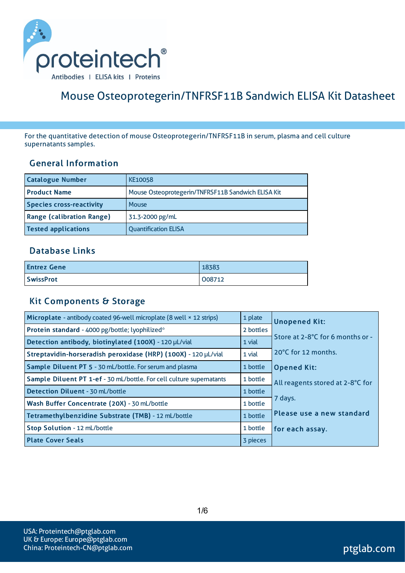

# Mouse Osteoprotegerin/TNFRSF11B Sandwich ELISA Kit Datasheet

For the quantitative detection of mouse Osteoprotegerin/TNFRSF11B in serum, plasma and cell culture supernatants samples.

#### General Information

| <b>Catalogue Number</b>          | KE10058                                            |
|----------------------------------|----------------------------------------------------|
| <b>Product Name</b>              | Mouse Osteoprotegerin/TNFRSF11B Sandwich ELISA Kit |
| <b>Species cross-reactivity</b>  | Mouse                                              |
| <b>Range (calibration Range)</b> | 31.3-2000 pg/mL                                    |
| <b>Tested applications</b>       | <b>Quantification ELISA</b>                        |

#### Database Links

| <b>Entrez Gene</b> | 18383  |
|--------------------|--------|
| <b>SwissProt</b>   | 008712 |

#### Kit Components & Storage

| Microplate - antibody coated 96-well microplate (8 well × 12 strips) | 1 plate   | <b>Unopened Kit:</b>             |
|----------------------------------------------------------------------|-----------|----------------------------------|
| Protein standard - 4000 pg/bottle; lyophilized*                      | 2 bottles |                                  |
| Detection antibody, biotinylated (100X) - 120 µL/vial                | 1 vial    | Store at 2-8°C for 6 months or - |
| Streptavidin-horseradish peroxidase (HRP) (100X) - 120 µL/vial       | 1 vial    | 20°C for 12 months.              |
| Sample Diluent PT 5 - 30 mL/bottle. For serum and plasma             | 1 bottle  | <b>Opened Kit:</b>               |
| Sample Diluent PT 1-ef - 30 mL/bottle. For cell culture supernatants | 1 bottle  | All reagents stored at 2-8°C for |
| Detection Diluent - 30 mL/bottle                                     | 1 bottle  |                                  |
| Wash Buffer Concentrate (20X) - 30 mL/bottle                         | 1 bottle  | 7 days.                          |
| Tetramethylbenzidine Substrate (TMB) - 12 mL/bottle                  | 1 bottle  | Please use a new standard        |
| Stop Solution - 12 mL/bottle                                         | 1 bottle  | for each assay.                  |
| <b>Plate Cover Seals</b>                                             | 3 pieces  |                                  |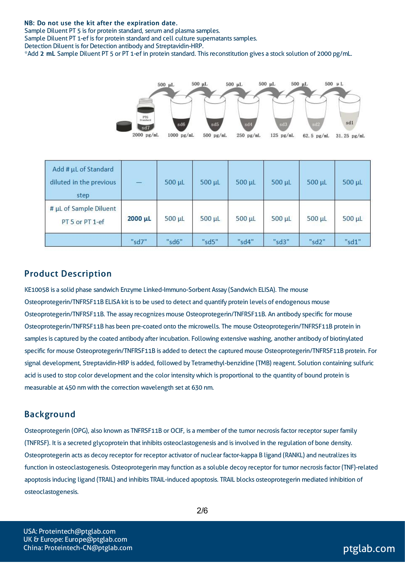#### NB: Do not use the kit after the expiration date.

Sample Diluent PT 5 is for protein standard, serum and plasma samples. Sample Diluent PT 1-ef is for protein standard and cell culture supernatants samples. Detection Diluent is for Detection antibody and Streptavidin-HRP. \*Add 2 mL Sample Diluent PT 5 or PT 1-ef in protein standard. Thisreconstitution gives a stock solution of 2000 pg/mL.



| Add # µL of Standard<br>diluted in the previous<br>step | $\equiv$     | $500 \mu L$ | 500 µL      | 500 µL | 500 µL      | $500 \mu L$ | 500 µL |
|---------------------------------------------------------|--------------|-------------|-------------|--------|-------------|-------------|--------|
| # µL of Sample Diluent<br>PT 5 or PT 1-ef               | $2000 \mu L$ | 500 µL      | $500 \mu L$ | 500 µL | $500 \mu L$ | $500 \mu L$ | 500 µL |
|                                                         | "sd7"        | "sd6"       | "sd5"       | "sd4"  | "sd3"       | "sd2"       | "sd1"  |

#### Product Description

KE10058 is a solid phase sandwich Enzyme Linked-Immuno-Sorbent Assay (Sandwich ELISA). The mouse Osteoprotegerin/TNFRSF11B ELISA kit isto be used to detect and quantify protein levels of endogenous mouse Osteoprotegerin/TNFRSF11B. The assay recognizes mouse Osteoprotegerin/TNFRSF11B. An antibody specific for mouse Osteoprotegerin/TNFRSF11B has been pre-coated onto the microwells. The mouse Osteoprotegerin/TNFRSF11B protein in samples is captured by the coated antibody after incubation. Following extensive washing, another antibody of biotinylated specific for mouse Osteoprotegerin/TNFRSF11B is added to detect the captured mouse Osteoprotegerin/TNFRSF11B protein. For signal development, Streptavidin-HRP is added, followed by Tetramethyl-benzidine (TMB) reagent. Solution containing sulfuric acid is used to stop color development and the color intensity which is proportional to the quantity of bound protein is measurable at 450 nm with the correction wavelength set at 630 nm.

#### Background

Osteoprotegerin (OPG), also known as TNFRSF11B or OCIF, is a member of the tumor necrosisfactor receptorsuper family (TNFRSF). It is a secreted glycoprotein that inhibits osteoclastogenesis and isinvolved in the regulation of bone density. Osteoprotegerin acts as decoy receptor for receptor activator of nuclear factor-kappa B ligand (RANKL) and neutralizesits function in osteoclastogenesis. Osteoprotegerin may function as a soluble decoy receptor for tumor necrosisfactor (TNF)-related apoptosisinducing ligand (TRAIL) and inhibits TRAIL-induced apoptosis. TRAIL blocks osteoprotegerin mediated inhibition of osteoclastogenesis.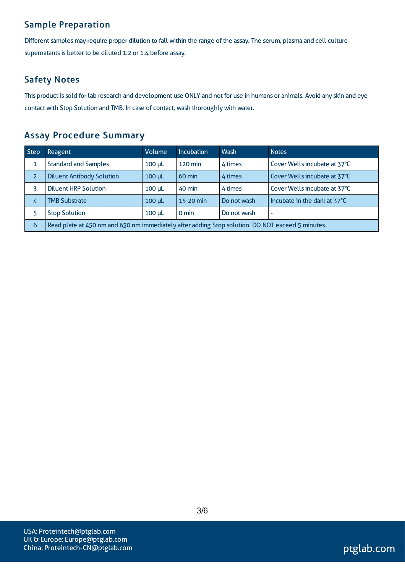## Sample Preparation

Different samples may require proper dilution to fall within the range of the assay. The serum, plasma and cell culture supernatants is better to be diluted 1:2 or 1:4 before assay.

### Safety Notes

This product is sold for lab research and development use ONLY and not for use in humans or animals. Avoid any skin and eye contact with Stop Solution and TMB. In case of contact, wash thoroughly with water.

### Assay Procedure Summary

| Step           | Reagent                                                                                          | Volume      | <b>Incubation</b> | Wash        | <b>Notes</b>                 |  |  |
|----------------|--------------------------------------------------------------------------------------------------|-------------|-------------------|-------------|------------------------------|--|--|
| 1              | <b>Standard and Samples</b>                                                                      | $100 \mu L$ | 120 min           | 4 times     | Cover Wells incubate at 37°C |  |  |
| $\overline{2}$ | <b>Diluent Antibody Solution</b>                                                                 | $100$ $\mu$ | 60 min            | 4 times     | Cover Wells incubate at 37°C |  |  |
| 3              | <b>Diluent HRP Solution</b>                                                                      | $100 \mu L$ | 40 min            | 4 times     | Cover Wells incubate at 37°C |  |  |
| 4              | <b>TMB Substrate</b>                                                                             | $100 \mu L$ | 15-20 min         | Do not wash | Incubate in the dark at 37°C |  |  |
| 5              | <b>Stop Solution</b>                                                                             | $100 \mu L$ | 0 min             | Do not wash | $\overline{\phantom{a}}$     |  |  |
| 6              | Read plate at 450 nm and 630 nm immediately after adding Stop solution. DO NOT exceed 5 minutes. |             |                   |             |                              |  |  |

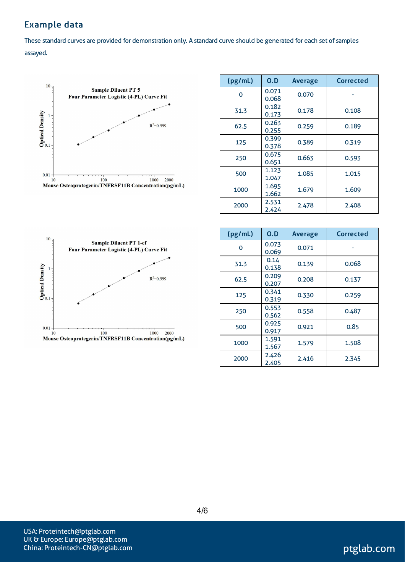### Example data

These standard curves are provided for demonstration only. A standard curve should be generated for each set of samples assayed.



| (pg/mL) | 0.D            | <b>Average</b> | <b>Corrected</b> |
|---------|----------------|----------------|------------------|
| O       | 0.071<br>0.068 | 0.070          |                  |
| 31.3    | 0.182<br>0.173 | 0.178          | 0.108            |
| 62.5    | 0.263<br>0.255 | 0.259          | 0.189            |
| 125     | 0.399<br>0.378 | 0.389          | 0.319            |
| 250     | 0.675<br>0.651 | 0.663          | 0.593            |
| 500     | 1.123<br>1.047 | 1.085          | 1.015            |
| 1000    | 1.695<br>1.662 | 1.679          | 1.609            |
| 2000    | 2.531<br>2.424 | 2.478          | 2.408            |



| (pg/mL) | 0.D            | <b>Average</b> | Corrected |
|---------|----------------|----------------|-----------|
| 0       | 0.073<br>0.069 | 0.071          |           |
| 31.3    | 0.14<br>0.138  | 0.139          | 0.068     |
| 62.5    | 0.209<br>0.207 | 0.208          | 0.137     |
| 125     | 0.341<br>0.319 | 0.330          | 0.259     |
| 250     | 0.553<br>0.562 | 0.558          | 0.487     |
| 500     | 0.925<br>0.917 | 0.921          | 0.85      |
| 1000    | 1.591<br>1.567 | 1.579          | 1.508     |
| 2000    | 2.426<br>2.405 | 2.416          | 2.345     |

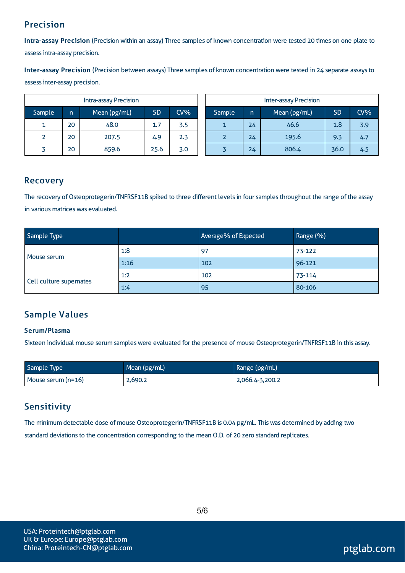## Precision

Intra-assay Precision (Precision within an assay) Three samples of known concentration were tested 20 times on one plate to assessintra-assay precision.

Inter-assay Precision (Precision between assays) Three samples of known concentration were tested in 24 separate assaysto assessinter-assay precision.

| <b>Intra-assay Precision</b> |    |              |           |        |        | <b>Inter-assay Precision</b> |              |           |     |
|------------------------------|----|--------------|-----------|--------|--------|------------------------------|--------------|-----------|-----|
| Sample                       | n  | Mean (pg/mL) | <b>SD</b> | $CV\%$ | Sample | 'n                           | Mean (pg/mL) | <b>SD</b> | CV% |
|                              | 20 | 48.0         | 1.7       | 3.5    |        | 24                           | 46.6         | 1.8       | 3.9 |
|                              | 20 | 207.5        | 4.9       | 2.3    |        | 24                           | 195.6        | 9.3       | 4.7 |
|                              | 20 | 859.6        | 25.6      | 3.0    |        | 24                           | 806.4        | 36.0      | 4.5 |

#### Recovery

The recovery of Osteoprotegerin/TNFRSF11B spiked to three different levels in four samples throughout the range of the assay in various matrices was evaluated.

| Sample Type             |      | Average% of Expected | Range (%) |
|-------------------------|------|----------------------|-----------|
|                         | 1:8  | 97                   | 73-122    |
| Mouse serum             | 1:16 | 102                  | 96-121    |
|                         | 1:2  | 102                  | 73-114    |
| Cell culture supernates | 1:4  | -95                  | 80-106    |

### Sample Values

#### Serum/Plasma

Sixteen individual mouse serum samples were evaluated for the presence of mouse Osteoprotegerin/TNFRSF11B in this assay.

| Sample Type        | Mean (pg/mL) | Range (pg/mL)   |
|--------------------|--------------|-----------------|
| Mouse serum (n=16) | 2,690.2      | 2,066.4-3,200.2 |

### **Sensitivity**

The minimum detectable dose of mouse Osteoprotegerin/TNFRSF11B is 0.04 pg/mL. Thiswas determined by adding two standard deviations to the concentration corresponding to the mean O.D. of 20 zero standard replicates.